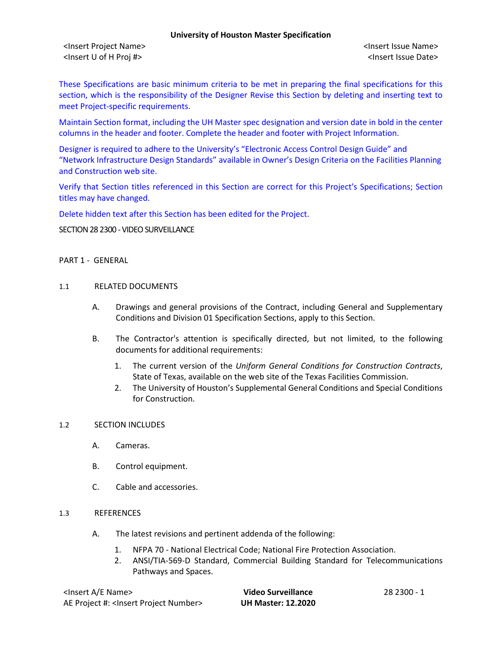<Insert Project Name> <Insert Issue Name> <Insert U of H Proj #> <Insert Issue Date>

These Specifications are basic minimum criteria to be met in preparing the final specifications for this section, which is the responsibility of the Designer Revise this Section by deleting and inserting text to meet Project-specific requirements.

Maintain Section format, including the UH Master spec designation and version date in bold in the center columns in the header and footer. Complete the header and footer with Project Information.

Designer is required to adhere to the University's "Electronic Access Control Design Guide" and "Network Infrastructure Design Standards" available in Owner's Design Criteria on the Facilities Planning and Construction web site.

Verify that Section titles referenced in this Section are correct for this Project's Specifications; Section titles may have changed.

Delete hidden text after this Section has been edited for the Project.

SECTION 28 2300 - VIDEO SURVEILLANCE

## PART 1 - GENERAL

### 1.1 RELATED DOCUMENTS

- A. Drawings and general provisions of the Contract, including General and Supplementary Conditions and Division 01 Specification Sections, apply to this Section.
- B. The Contractor's attention is specifically directed, but not limited, to the following documents for additional requirements:
	- 1. The current version of the *Uniform General Conditions for Construction Contracts*, State of Texas, available on the web site of the Texas Facilities Commission.
	- 2. The University of Houston's Supplemental General Conditions and Special Conditions for Construction.

## 1.2 SECTION INCLUDES

- A. Cameras.
- B. Control equipment.
- C. Cable and accessories.

## 1.3 REFERENCES

- A. The latest revisions and pertinent addenda of the following:
	- 1. NFPA 70 National Electrical Code; National Fire Protection Association.
	- 2. ANSI/TIA-569-D Standard, Commercial Building Standard for Telecommunications Pathways and Spaces.

| <lnsert a="" e="" name=""></lnsert>                  |  |
|------------------------------------------------------|--|
| AE Project #: <lnsert number="" project=""></lnsert> |  |

**Video Surveillance** 28 2300 - 1 AE Project #: <Insert Project Number> **UH Master: 12.2020**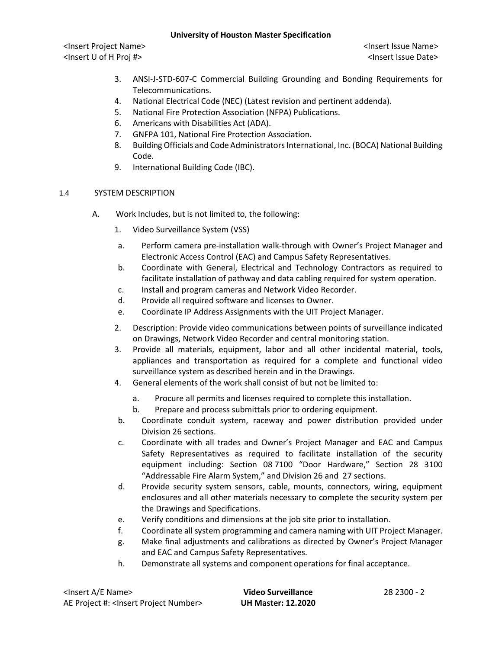<Insert Project Name> <Insert Issue Name> <Insert U of H Proj #> <Insert Issue Date>

- 3. ANSI-J-STD-607-C Commercial Building Grounding and Bonding Requirements for Telecommunications.
- 4. National Electrical Code (NEC) (Latest revision and pertinent addenda).
- 5. National Fire Protection Association (NFPA) Publications.
- 6. Americans with Disabilities Act (ADA).
- 7. GNFPA 101, National Fire Protection Association.
- 8. Building Officials and Code Administrators International, Inc. (BOCA) National Building Code.
- 9. International Building Code (IBC).

# 1.4 SYSTEM DESCRIPTION

- A. Work Includes, but is not limited to, the following:
	- 1. Video Surveillance System (VSS)
	- a. Perform camera pre-installation walk-through with Owner's Project Manager and Electronic Access Control (EAC) and Campus Safety Representatives.
	- b. Coordinate with General, Electrical and Technology Contractors as required to facilitate installation of pathway and data cabling required for system operation.
	- c. Install and program cameras and Network Video Recorder.
	- d. Provide all required software and licenses to Owner.
	- e. Coordinate IP Address Assignments with the UIT Project Manager.
	- 2. Description: Provide video communications between points of surveillance indicated on Drawings, Network Video Recorder and central monitoring station.
	- 3. Provide all materials, equipment, labor and all other incidental material, tools, appliances and transportation as required for a complete and functional video surveillance system as described herein and in the Drawings.
	- 4. General elements of the work shall consist of but not be limited to:
		- a. Procure all permits and licenses required to complete this installation.
		- b. Prepare and process submittals prior to ordering equipment.
	- b. Coordinate conduit system, raceway and power distribution provided under Division 26 sections.
	- c. Coordinate with all trades and Owner's Project Manager and EAC and Campus Safety Representatives as required to facilitate installation of the security equipment including: Section 08 7100 "Door Hardware," Section 28 3100 "Addressable Fire Alarm System," and Division 26 and 27 sections.
	- d. Provide security system sensors, cable, mounts, connectors, wiring, equipment enclosures and all other materials necessary to complete the security system per the Drawings and Specifications.
	- e. Verify conditions and dimensions at the job site prior to installation.
	- f. Coordinate all system programming and camera naming with UIT Project Manager.
	- g. Make final adjustments and calibrations as directed by Owner's Project Manager and EAC and Campus Safety Representatives.
	- h. Demonstrate all systems and component operations for final acceptance.

| <insert a="" e="" name=""></insert>                  | Video Surveillance        | 28 2300 - 2 |
|------------------------------------------------------|---------------------------|-------------|
| AE Project #: <insert number="" project=""></insert> | <b>UH Master: 12.2020</b> |             |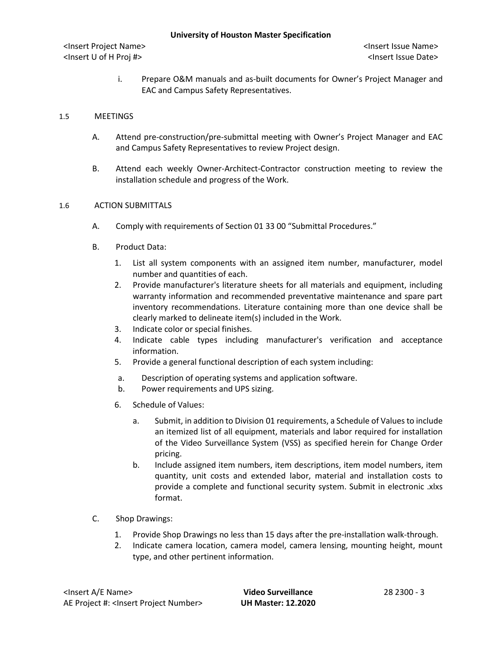i. Prepare O&M manuals and as-built documents for Owner's Project Manager and EAC and Campus Safety Representatives.

## 1.5 MEETINGS

- A. Attend pre-construction/pre-submittal meeting with Owner's Project Manager and EAC and Campus Safety Representatives to review Project design.
- B. Attend each weekly Owner-Architect-Contractor construction meeting to review the installation schedule and progress of the Work.

## 1.6 ACTION SUBMITTALS

- A. Comply with requirements of Section 01 33 00 "Submittal Procedures."
- B. Product Data:
	- 1. List all system components with an assigned item number, manufacturer, model number and quantities of each.
	- 2. Provide manufacturer's literature sheets for all materials and equipment, including warranty information and recommended preventative maintenance and spare part inventory recommendations. Literature containing more than one device shall be clearly marked to delineate item(s) included in the Work.
	- 3. Indicate color or special finishes.
	- 4. Indicate cable types including manufacturer's verification and acceptance information.
	- 5. Provide a general functional description of each system including:
	- a. Description of operating systems and application software.
	- b. Power requirements and UPS sizing.
	- 6. Schedule of Values:
		- a. Submit, in addition to Division 01 requirements, a Schedule of Values to include an itemized list of all equipment, materials and labor required for installation of the Video Surveillance System (VSS) as specified herein for Change Order pricing.
		- b. Include assigned item numbers, item descriptions, item model numbers, item quantity, unit costs and extended labor, material and installation costs to provide a complete and functional security system. Submit in electronic .xlxs format.
- C. Shop Drawings:
	- 1. Provide Shop Drawings no less than 15 days after the pre-installation walk-through.
	- 2. Indicate camera location, camera model, camera lensing, mounting height, mount type, and other pertinent information.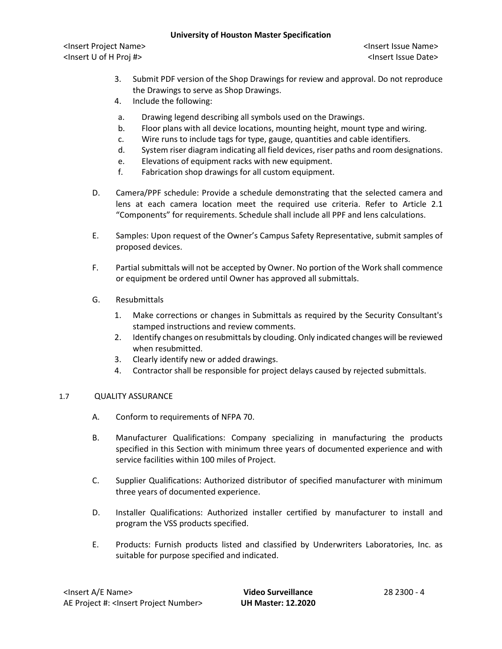<Insert Project Name> <Insert Issue Name> <Insert U of H Proj #> <Insert Issue Date>

- 3. Submit PDF version of the Shop Drawings for review and approval. Do not reproduce the Drawings to serve as Shop Drawings.
- 4. Include the following:
- a. Drawing legend describing all symbols used on the Drawings.
- b. Floor plans with all device locations, mounting height, mount type and wiring.
- c. Wire runs to include tags for type, gauge, quantities and cable identifiers.
- d. System riser diagram indicating all field devices, riser paths and room designations.
- e. Elevations of equipment racks with new equipment.
- f. Fabrication shop drawings for all custom equipment.
- D. Camera/PPF schedule: Provide a schedule demonstrating that the selected camera and lens at each camera location meet the required use criteria. Refer to Article 2.1 "Components" for requirements. Schedule shall include all PPF and lens calculations.
- E. Samples: Upon request of the Owner's Campus Safety Representative, submit samples of proposed devices.
- F. Partial submittals will not be accepted by Owner. No portion of the Work shall commence or equipment be ordered until Owner has approved all submittals.
- G. Resubmittals
	- 1. Make corrections or changes in Submittals as required by the Security Consultant's stamped instructions and review comments.
	- 2. Identify changes on resubmittals by clouding. Only indicated changes will be reviewed when resubmitted.
	- 3. Clearly identify new or added drawings.
	- 4. Contractor shall be responsible for project delays caused by rejected submittals.

# 1.7 QUALITY ASSURANCE

- A. Conform to requirements of NFPA 70.
- B. Manufacturer Qualifications: Company specializing in manufacturing the products specified in this Section with minimum three years of documented experience and with service facilities within 100 miles of Project.
- C. Supplier Qualifications: Authorized distributor of specified manufacturer with minimum three years of documented experience.
- D. Installer Qualifications: Authorized installer certified by manufacturer to install and program the VSS products specified.
- E. Products: Furnish products listed and classified by Underwriters Laboratories, Inc. as suitable for purpose specified and indicated.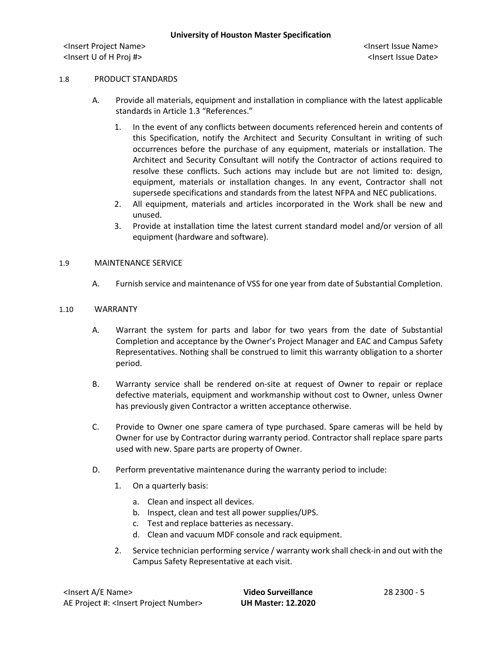### 1.8 PRODUCT STANDARDS

- A. Provide all materials, equipment and installation in compliance with the latest applicable standards in Article 1.3 "References."
	- 1. In the event of any conflicts between documents referenced herein and contents of this Specification, notify the Architect and Security Consultant in writing of such occurrences before the purchase of any equipment, materials or installation. The Architect and Security Consultant will notify the Contractor of actions required to resolve these conflicts. Such actions may include but are not limited to: design, equipment, materials or installation changes. In any event, Contractor shall not supersede specifications and standards from the latest NFPA and NEC publications.
	- 2. All equipment, materials and articles incorporated in the Work shall be new and unused.
	- 3. Provide at installation time the latest current standard model and/or version of all equipment (hardware and software).

## 1.9 MAINTENANCE SERVICE

A. Furnish service and maintenance of VSS for one year from date of Substantial Completion.

#### 1.10 WARRANTY

- A. Warrant the system for parts and labor for two years from the date of Substantial Completion and acceptance by the Owner's Project Manager and EAC and Campus Safety Representatives. Nothing shall be construed to limit this warranty obligation to a shorter period.
- B. Warranty service shall be rendered on-site at request of Owner to repair or replace defective materials, equipment and workmanship without cost to Owner, unless Owner has previously given Contractor a written acceptance otherwise.
- C. Provide to Owner one spare camera of type purchased. Spare cameras will be held by Owner for use by Contractor during warranty period. Contractor shall replace spare parts used with new. Spare parts are property of Owner.
- D. Perform preventative maintenance during the warranty period to include:
	- 1. On a quarterly basis:
		- a. Clean and inspect all devices.
		- b. Inspect, clean and test all power supplies/UPS.
		- c. Test and replace batteries as necessary.
		- d. Clean and vacuum MDF console and rack equipment.
	- 2. Service technician performing service / warranty work shall check-in and out with the Campus Safety Representative at each visit.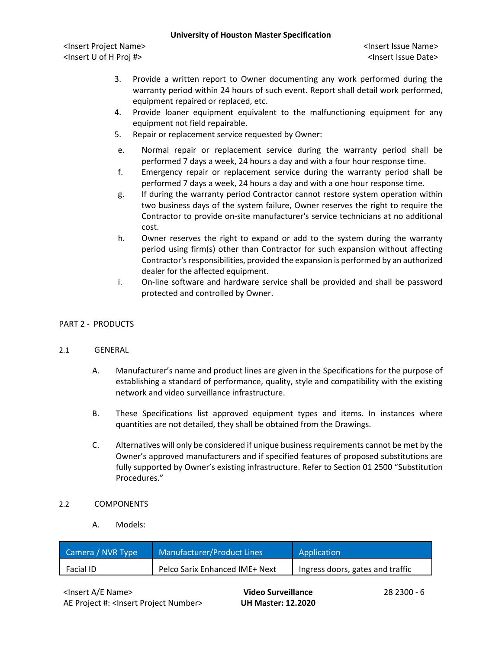<Insert Project Name> <Insert Issue Name> <Insert U of H Proj #> <Insert Issue Date>

- 3. Provide a written report to Owner documenting any work performed during the warranty period within 24 hours of such event. Report shall detail work performed, equipment repaired or replaced, etc.
- 4. Provide loaner equipment equivalent to the malfunctioning equipment for any equipment not field repairable.
- 5. Repair or replacement service requested by Owner:
- e. Normal repair or replacement service during the warranty period shall be performed 7 days a week, 24 hours a day and with a four hour response time.
- f. Emergency repair or replacement service during the warranty period shall be performed 7 days a week, 24 hours a day and with a one hour response time.
- g. If during the warranty period Contractor cannot restore system operation within two business days of the system failure, Owner reserves the right to require the Contractor to provide on-site manufacturer's service technicians at no additional cost.
- h. Owner reserves the right to expand or add to the system during the warranty period using firm(s) other than Contractor for such expansion without affecting Contractor's responsibilities, provided the expansion is performed by an authorized dealer for the affected equipment.
- i. On-line software and hardware service shall be provided and shall be password protected and controlled by Owner.

# PART 2 - PRODUCTS

## 2.1 GENERAL

- A. Manufacturer's name and product lines are given in the Specifications for the purpose of establishing a standard of performance, quality, style and compatibility with the existing network and video surveillance infrastructure.
- B. These Specifications list approved equipment types and items. In instances where quantities are not detailed, they shall be obtained from the Drawings.
- C. Alternatives will only be considered if unique business requirements cannot be met by the Owner's approved manufacturers and if specified features of proposed substitutions are fully supported by Owner's existing infrastructure. Refer to Section 01 2500 "Substitution Procedures."

## 2.2 COMPONENTS

A. Models:

| Camera / NVR Type | Manufacturer/Product Lines     | Application                      |
|-------------------|--------------------------------|----------------------------------|
| Facial ID         | Pelco Sarix Enhanced IME+ Next | Ingress doors, gates and traffic |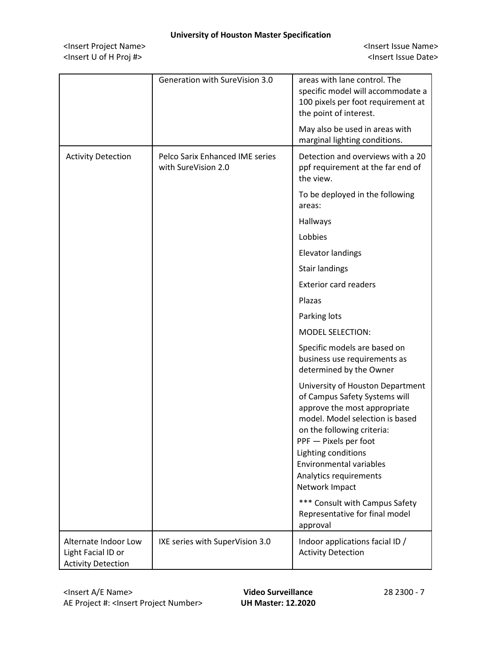<Insert Project Name> <Insert Issue Name> <Insert U of H Proj #> <Insert Issue Date>

|                                                                         | Generation with SureVision 3.0                         | areas with lane control. The<br>specific model will accommodate a<br>100 pixels per foot requirement at<br>the point of interest.                                                                                                                                                                |
|-------------------------------------------------------------------------|--------------------------------------------------------|--------------------------------------------------------------------------------------------------------------------------------------------------------------------------------------------------------------------------------------------------------------------------------------------------|
|                                                                         |                                                        | May also be used in areas with<br>marginal lighting conditions.                                                                                                                                                                                                                                  |
| <b>Activity Detection</b>                                               | Pelco Sarix Enhanced IME series<br>with SureVision 2.0 | Detection and overviews with a 20<br>ppf requirement at the far end of<br>the view.                                                                                                                                                                                                              |
|                                                                         |                                                        | To be deployed in the following<br>areas:                                                                                                                                                                                                                                                        |
|                                                                         |                                                        | Hallways                                                                                                                                                                                                                                                                                         |
|                                                                         |                                                        | Lobbies                                                                                                                                                                                                                                                                                          |
|                                                                         |                                                        | <b>Elevator landings</b>                                                                                                                                                                                                                                                                         |
|                                                                         |                                                        | <b>Stair landings</b>                                                                                                                                                                                                                                                                            |
|                                                                         |                                                        | <b>Exterior card readers</b>                                                                                                                                                                                                                                                                     |
|                                                                         |                                                        | Plazas                                                                                                                                                                                                                                                                                           |
|                                                                         |                                                        | Parking lots                                                                                                                                                                                                                                                                                     |
|                                                                         |                                                        | <b>MODEL SELECTION:</b>                                                                                                                                                                                                                                                                          |
|                                                                         |                                                        | Specific models are based on<br>business use requirements as<br>determined by the Owner                                                                                                                                                                                                          |
|                                                                         |                                                        | University of Houston Department<br>of Campus Safety Systems will<br>approve the most appropriate<br>model. Model selection is based<br>on the following criteria:<br>PPF - Pixels per foot<br>Lighting conditions<br><b>Environmental variables</b><br>Analytics requirements<br>Network Impact |
|                                                                         |                                                        | *** Consult with Campus Safety<br>Representative for final model<br>approval                                                                                                                                                                                                                     |
| Alternate Indoor Low<br>Light Facial ID or<br><b>Activity Detection</b> | IXE series with SuperVision 3.0                        | Indoor applications facial ID /<br><b>Activity Detection</b>                                                                                                                                                                                                                                     |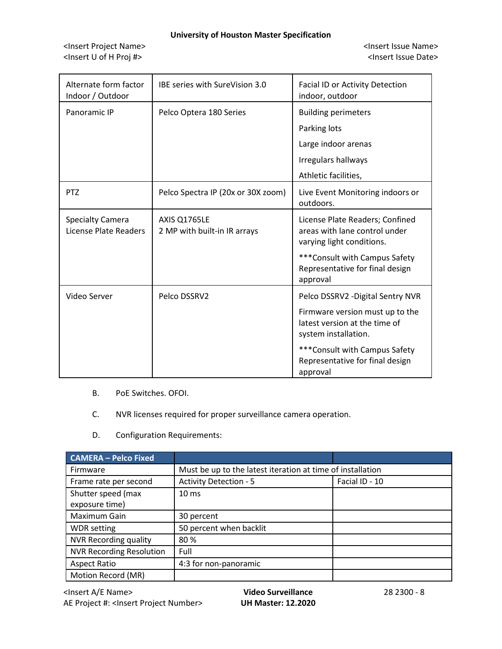<Insert Project Name> <Insert Issue Name> <Insert U of H Proj #> <Insert Issue Date>

| Alternate form factor<br>Indoor / Outdoor        | IBE series with SureVision 3.0               | Facial ID or Activity Detection<br>indoor, outdoor                                            |
|--------------------------------------------------|----------------------------------------------|-----------------------------------------------------------------------------------------------|
| Panoramic IP                                     | Pelco Optera 180 Series                      | <b>Building perimeters</b>                                                                    |
|                                                  |                                              | Parking lots                                                                                  |
|                                                  |                                              | Large indoor arenas                                                                           |
|                                                  |                                              | Irregulars hallways                                                                           |
|                                                  |                                              | Athletic facilities,                                                                          |
| <b>PTZ</b>                                       | Pelco Spectra IP (20x or 30X zoom)           | Live Event Monitoring indoors or<br>outdoors.                                                 |
| <b>Specialty Camera</b><br>License Plate Readers | AXIS Q1765LE<br>2 MP with built-in IR arrays | License Plate Readers; Confined<br>areas with lane control under<br>varying light conditions. |
|                                                  |                                              | *** Consult with Campus Safety<br>Representative for final design<br>approval                 |
| Video Server                                     | Pelco DSSRV2                                 | Pelco DSSRV2 - Digital Sentry NVR                                                             |
|                                                  |                                              | Firmware version must up to the<br>latest version at the time of<br>system installation.      |
|                                                  |                                              | *** Consult with Campus Safety<br>Representative for final design<br>approval                 |

- B. PoE Switches. OFOI.
- C. NVR licenses required for proper surveillance camera operation.
- D. Configuration Requirements:

| <b>CAMERA - Pelco Fixed</b>     |                                                            |                |
|---------------------------------|------------------------------------------------------------|----------------|
| Firmware                        | Must be up to the latest iteration at time of installation |                |
| Frame rate per second           | <b>Activity Detection - 5</b>                              | Facial ID - 10 |
| Shutter speed (max              | $10 \text{ ms}$                                            |                |
| exposure time)                  |                                                            |                |
| Maximum Gain                    | 30 percent                                                 |                |
| <b>WDR</b> setting              | 50 percent when backlit                                    |                |
| <b>NVR Recording quality</b>    | 80%                                                        |                |
| <b>NVR Recording Resolution</b> | Full                                                       |                |
| <b>Aspect Ratio</b>             | 4:3 for non-panoramic                                      |                |
| Motion Record (MR)              |                                                            |                |

<Insert A/E Name> **Video Surveillance** 28 2300 - 8 AE Project #: <Insert Project Number> **UH Master: 12.2020**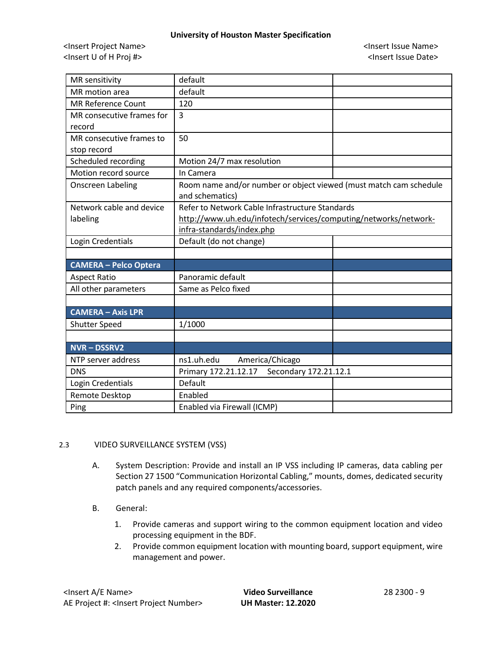<Insert Project Name> <Insert Issue Name> <Insert U of H Proj #> <Insert Issue Date>

| MR sensitivity               | default                                                           |
|------------------------------|-------------------------------------------------------------------|
| MR motion area               | default                                                           |
| <b>MR Reference Count</b>    | 120                                                               |
| MR consecutive frames for    | 3                                                                 |
| record                       |                                                                   |
| MR consecutive frames to     | 50                                                                |
| stop record                  |                                                                   |
| Scheduled recording          | Motion 24/7 max resolution                                        |
| Motion record source         | In Camera                                                         |
| <b>Onscreen Labeling</b>     | Room name and/or number or object viewed (must match cam schedule |
|                              | and schematics)                                                   |
| Network cable and device     | Refer to Network Cable Infrastructure Standards                   |
| labeling                     | http://www.uh.edu/infotech/services/computing/networks/network-   |
|                              | infra-standards/index.php                                         |
| Login Credentials            | Default (do not change)                                           |
|                              |                                                                   |
| <b>CAMERA - Pelco Optera</b> |                                                                   |
| <b>Aspect Ratio</b>          | Panoramic default                                                 |
| All other parameters         | Same as Pelco fixed                                               |
|                              |                                                                   |
| <b>CAMERA - Axis LPR</b>     |                                                                   |
| <b>Shutter Speed</b>         | 1/1000                                                            |
|                              |                                                                   |
| <b>NVR-DSSRV2</b>            |                                                                   |
| NTP server address           | ns1.uh.edu<br>America/Chicago                                     |
| <b>DNS</b>                   | Primary 172.21.12.17<br>Secondary 172.21.12.1                     |
| Login Credentials            | Default                                                           |
| Remote Desktop               | Enabled                                                           |
| Ping                         | Enabled via Firewall (ICMP)                                       |

# 2.3 VIDEO SURVEILLANCE SYSTEM (VSS)

- A. System Description: Provide and install an IP VSS including IP cameras, data cabling per Section 27 1500 "Communication Horizontal Cabling," mounts, domes, dedicated security patch panels and any required components/accessories.
- B. General:
	- 1. Provide cameras and support wiring to the common equipment location and video processing equipment in the BDF.
	- 2. Provide common equipment location with mounting board, support equipment, wire management and power.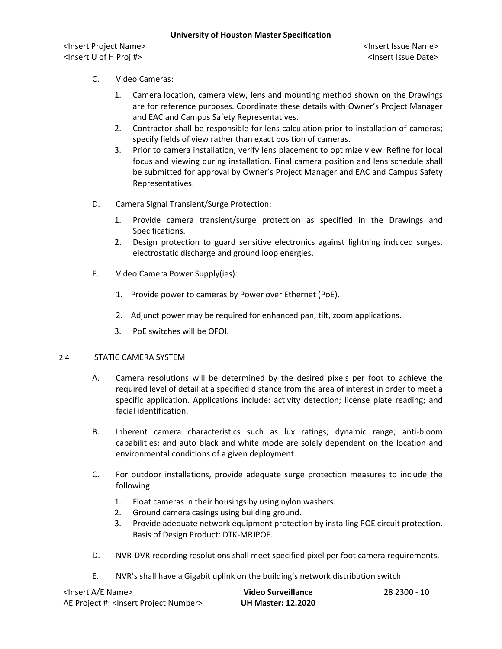- C. Video Cameras:
	- 1. Camera location, camera view, lens and mounting method shown on the Drawings are for reference purposes. Coordinate these details with Owner's Project Manager and EAC and Campus Safety Representatives.
	- 2. Contractor shall be responsible for lens calculation prior to installation of cameras; specify fields of view rather than exact position of cameras.
	- 3. Prior to camera installation, verify lens placement to optimize view. Refine for local focus and viewing during installation. Final camera position and lens schedule shall be submitted for approval by Owner's Project Manager and EAC and Campus Safety Representatives.
- D. Camera Signal Transient/Surge Protection:
	- 1. Provide camera transient/surge protection as specified in the Drawings and Specifications.
	- 2. Design protection to guard sensitive electronics against lightning induced surges, electrostatic discharge and ground loop energies.
- E. Video Camera Power Supply(ies):
	- 1. Provide power to cameras by Power over Ethernet (PoE).
	- 2. Adjunct power may be required for enhanced pan, tilt, zoom applications.
	- 3. PoE switches will be OFOI.

# 2.4 STATIC CAMERA SYSTEM

- A. Camera resolutions will be determined by the desired pixels per foot to achieve the required level of detail at a specified distance from the area of interest in order to meet a specific application. Applications include: activity detection; license plate reading; and facial identification.
- B. Inherent camera characteristics such as lux ratings; dynamic range; anti-bloom capabilities; and auto black and white mode are solely dependent on the location and environmental conditions of a given deployment.
- C. For outdoor installations, provide adequate surge protection measures to include the following:
	- 1. Float cameras in their housings by using nylon washers.
	- 2. Ground camera casings using building ground.
	- 3. Provide adequate network equipment protection by installing POE circuit protection. Basis of Design Product: DTK-MRJPOE.
- D. NVR-DVR recording resolutions shall meet specified pixel per foot camera requirements.
- E. NVR's shall have a Gigabit uplink on the building's network distribution switch.

| <lnsert a="" e="" name=""></lnsert>                  | Video Surveillance        | 28 2300 - 10 |
|------------------------------------------------------|---------------------------|--------------|
| AE Project #: <lnsert number="" project=""></lnsert> | <b>UH Master: 12.2020</b> |              |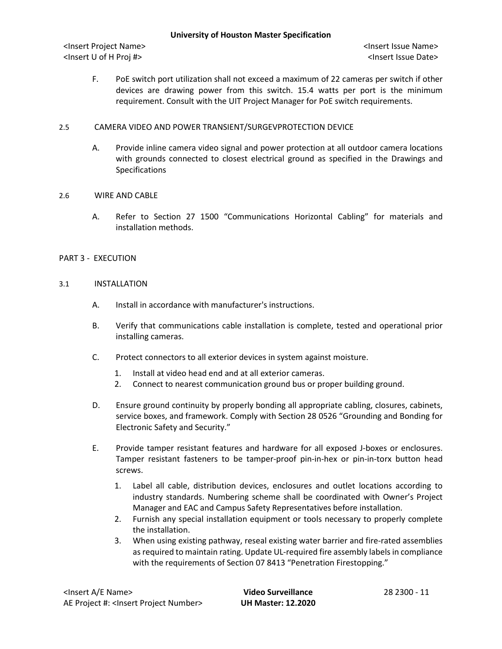F. PoE switch port utilization shall not exceed a maximum of 22 cameras per switch if other devices are drawing power from this switch. 15.4 watts per port is the minimum requirement. Consult with the UIT Project Manager for PoE switch requirements.

# 2.5 CAMERA VIDEO AND POWER TRANSIENT/SURGEVPROTECTION DEVICE

A. Provide inline camera video signal and power protection at all outdoor camera locations with grounds connected to closest electrical ground as specified in the Drawings and Specifications

## 2.6 WIRE AND CABLE

A. Refer to Section 27 1500 "Communications Horizontal Cabling" for materials and installation methods.

## PART 3 - EXECUTION

## 3.1 INSTALLATION

- A. Install in accordance with manufacturer's instructions.
- B. Verify that communications cable installation is complete, tested and operational prior installing cameras.
- C. Protect connectors to all exterior devices in system against moisture.
	- 1. Install at video head end and at all exterior cameras.
	- 2. Connect to nearest communication ground bus or proper building ground.
- D. Ensure ground continuity by properly bonding all appropriate cabling, closures, cabinets, service boxes, and framework. Comply with Section 28 0526 "Grounding and Bonding for Electronic Safety and Security."
- E. Provide tamper resistant features and hardware for all exposed J-boxes or enclosures. Tamper resistant fasteners to be tamper-proof pin-in-hex or pin-in-torx button head screws.
	- 1. Label all cable, distribution devices, enclosures and outlet locations according to industry standards. Numbering scheme shall be coordinated with Owner's Project Manager and EAC and Campus Safety Representatives before installation.
	- 2. Furnish any special installation equipment or tools necessary to properly complete the installation.
	- 3. When using existing pathway, reseal existing water barrier and fire-rated assemblies as required to maintain rating. Update UL-required fire assembly labels in compliance with the requirements of Section 07 8413 "Penetration Firestopping."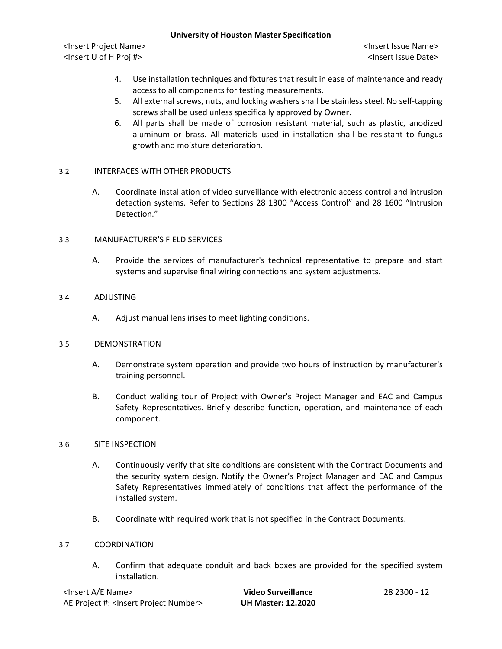<Insert Project Name> <Insert Issue Name> <Insert U of H Proj #> <Insert Issue Date>

- 4. Use installation techniques and fixtures that result in ease of maintenance and ready access to all components for testing measurements.
- 5. All external screws, nuts, and locking washers shall be stainless steel. No self-tapping screws shall be used unless specifically approved by Owner.
- 6. All parts shall be made of corrosion resistant material, such as plastic, anodized aluminum or brass. All materials used in installation shall be resistant to fungus growth and moisture deterioration.

# 3.2 INTERFACES WITH OTHER PRODUCTS

A. Coordinate installation of video surveillance with electronic access control and intrusion detection systems. Refer to Sections 28 1300 "Access Control" and 28 1600 "Intrusion Detection."

## 3.3 MANUFACTURER'S FIELD SERVICES

A. Provide the services of manufacturer's technical representative to prepare and start systems and supervise final wiring connections and system adjustments.

## 3.4 ADJUSTING

A. Adjust manual lens irises to meet lighting conditions.

## 3.5 DEMONSTRATION

- A. Demonstrate system operation and provide two hours of instruction by manufacturer's training personnel.
- B. Conduct walking tour of Project with Owner's Project Manager and EAC and Campus Safety Representatives. Briefly describe function, operation, and maintenance of each component.

## 3.6 SITE INSPECTION

- A. Continuously verify that site conditions are consistent with the Contract Documents and the security system design. Notify the Owner's Project Manager and EAC and Campus Safety Representatives immediately of conditions that affect the performance of the installed system.
- B. Coordinate with required work that is not specified in the Contract Documents.

## 3.7 COORDINATION

A. Confirm that adequate conduit and back boxes are provided for the specified system installation.

| <insert a="" e="" name=""></insert>                  | Video Surveillance        | 28 2300 - 12 |
|------------------------------------------------------|---------------------------|--------------|
| AE Project #: <lnsert number="" project=""></lnsert> | <b>UH Master: 12.2020</b> |              |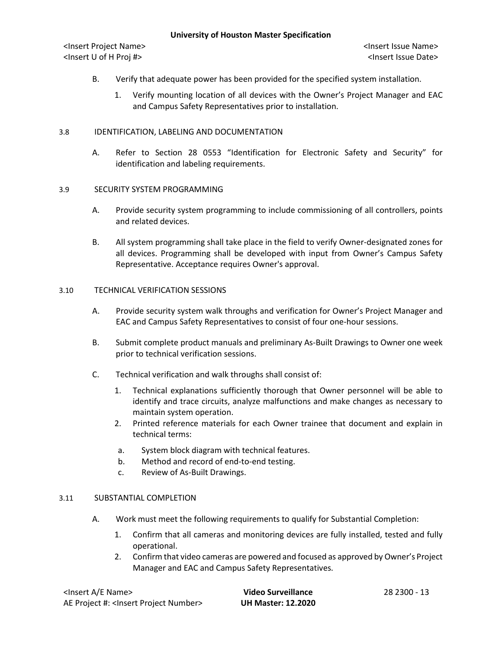- B. Verify that adequate power has been provided for the specified system installation.
	- 1. Verify mounting location of all devices with the Owner's Project Manager and EAC and Campus Safety Representatives prior to installation.

## 3.8 IDENTIFICATION, LABELING AND DOCUMENTATION

A. Refer to Section 28 0553 "Identification for Electronic Safety and Security" for identification and labeling requirements.

## 3.9 SECURITY SYSTEM PROGRAMMING

- A. Provide security system programming to include commissioning of all controllers, points and related devices.
- B. All system programming shall take place in the field to verify Owner-designated zones for all devices. Programming shall be developed with input from Owner's Campus Safety Representative. Acceptance requires Owner's approval.

## 3.10 TECHNICAL VERIFICATION SESSIONS

- A. Provide security system walk throughs and verification for Owner's Project Manager and EAC and Campus Safety Representatives to consist of four one-hour sessions.
- B. Submit complete product manuals and preliminary As-Built Drawings to Owner one week prior to technical verification sessions.
- C. Technical verification and walk throughs shall consist of:
	- 1. Technical explanations sufficiently thorough that Owner personnel will be able to identify and trace circuits, analyze malfunctions and make changes as necessary to maintain system operation.
	- 2. Printed reference materials for each Owner trainee that document and explain in technical terms:
	- a. System block diagram with technical features.
	- b. Method and record of end-to-end testing.
	- c. Review of As-Built Drawings.

## 3.11 SUBSTANTIAL COMPLETION

- A. Work must meet the following requirements to qualify for Substantial Completion:
	- 1. Confirm that all cameras and monitoring devices are fully installed, tested and fully operational.
	- 2. Confirm that video cameras are powered and focused as approved by Owner's Project Manager and EAC and Campus Safety Representatives.

| <lnsert a="" e="" name=""></lnsert>                  | Video Surveillance        | 28 2300 - 13 |
|------------------------------------------------------|---------------------------|--------------|
| AE Project #: <lnsert number="" project=""></lnsert> | <b>UH Master: 12.2020</b> |              |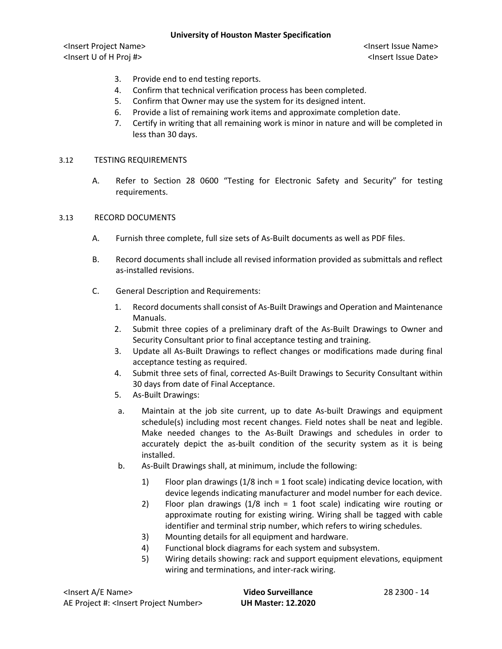<Insert Project Name> <Insert Issue Name> <Insert U of H Proj #> <Insert Issue Date>

- 3. Provide end to end testing reports.
- 4. Confirm that technical verification process has been completed.
- 5. Confirm that Owner may use the system for its designed intent.
- 6. Provide a list of remaining work items and approximate completion date.
- 7. Certify in writing that all remaining work is minor in nature and will be completed in less than 30 days.

## 3.12 TESTING REQUIREMENTS

A. Refer to Section 28 0600 "Testing for Electronic Safety and Security" for testing requirements.

## 3.13 RECORD DOCUMENTS

- A. Furnish three complete, full size sets of As-Built documents as well as PDF files.
- B. Record documents shall include all revised information provided as submittals and reflect as-installed revisions.
- C. General Description and Requirements:
	- 1. Record documents shall consist of As-Built Drawings and Operation and Maintenance Manuals.
	- 2. Submit three copies of a preliminary draft of the As-Built Drawings to Owner and Security Consultant prior to final acceptance testing and training.
	- 3. Update all As-Built Drawings to reflect changes or modifications made during final acceptance testing as required.
	- 4. Submit three sets of final, corrected As-Built Drawings to Security Consultant within 30 days from date of Final Acceptance.
	- 5. As-Built Drawings:
	- a. Maintain at the job site current, up to date As-built Drawings and equipment schedule(s) including most recent changes. Field notes shall be neat and legible. Make needed changes to the As-Built Drawings and schedules in order to accurately depict the as-built condition of the security system as it is being installed.
	- b. As-Built Drawings shall, at minimum, include the following:
		- 1) Floor plan drawings (1/8 inch = 1 foot scale) indicating device location, with device legends indicating manufacturer and model number for each device.
		- 2) Floor plan drawings (1/8 inch = 1 foot scale) indicating wire routing or approximate routing for existing wiring. Wiring shall be tagged with cable identifier and terminal strip number, which refers to wiring schedules.
		- 3) Mounting details for all equipment and hardware.
		- 4) Functional block diagrams for each system and subsystem.
		- 5) Wiring details showing: rack and support equipment elevations, equipment wiring and terminations, and inter-rack wiring.

| <lnsert a="" e="" name=""></lnsert>                  | Video Surveillance        | 28 2300 - 14 |
|------------------------------------------------------|---------------------------|--------------|
| AE Project #: <lnsert number="" project=""></lnsert> | <b>UH Master: 12.2020</b> |              |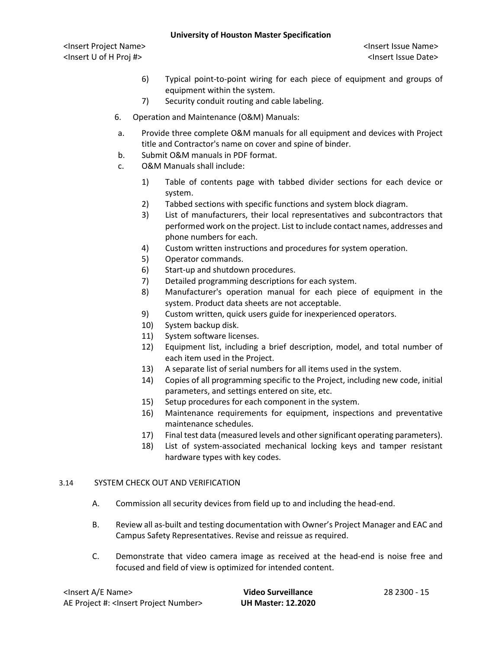<Insert Project Name> <Insert Issue Name> <Insert U of H Proj #> <Insert Issue Date>

- 6) Typical point-to-point wiring for each piece of equipment and groups of equipment within the system.
- 7) Security conduit routing and cable labeling.
- 6. Operation and Maintenance (O&M) Manuals:
- a. Provide three complete O&M manuals for all equipment and devices with Project title and Contractor's name on cover and spine of binder.
- b. Submit O&M manuals in PDF format.
- c. O&M Manuals shall include:
	- 1) Table of contents page with tabbed divider sections for each device or system.
	- 2) Tabbed sections with specific functions and system block diagram.
	- 3) List of manufacturers, their local representatives and subcontractors that performed work on the project. List to include contact names, addresses and phone numbers for each.
	- 4) Custom written instructions and procedures for system operation.
	- 5) Operator commands.
	- 6) Start-up and shutdown procedures.
	- 7) Detailed programming descriptions for each system.
	- 8) Manufacturer's operation manual for each piece of equipment in the system. Product data sheets are not acceptable.
	- 9) Custom written, quick users guide for inexperienced operators.
	- 10) System backup disk.
	- 11) System software licenses.
	- 12) Equipment list, including a brief description, model, and total number of each item used in the Project.
	- 13) A separate list of serial numbers for all items used in the system.
	- 14) Copies of all programming specific to the Project, including new code, initial parameters, and settings entered on site, etc.
	- 15) Setup procedures for each component in the system.
	- 16) Maintenance requirements for equipment, inspections and preventative maintenance schedules.
	- 17) Final test data (measured levels and other significant operating parameters).
	- 18) List of system-associated mechanical locking keys and tamper resistant hardware types with key codes.

# 3.14 SYSTEM CHECK OUT AND VERIFICATION

- A. Commission all security devices from field up to and including the head-end.
- B. Review all as-built and testing documentation with Owner's Project Manager and EAC and Campus Safety Representatives. Revise and reissue as required.
- C. Demonstrate that video camera image as received at the head-end is noise free and focused and field of view is optimized for intended content.